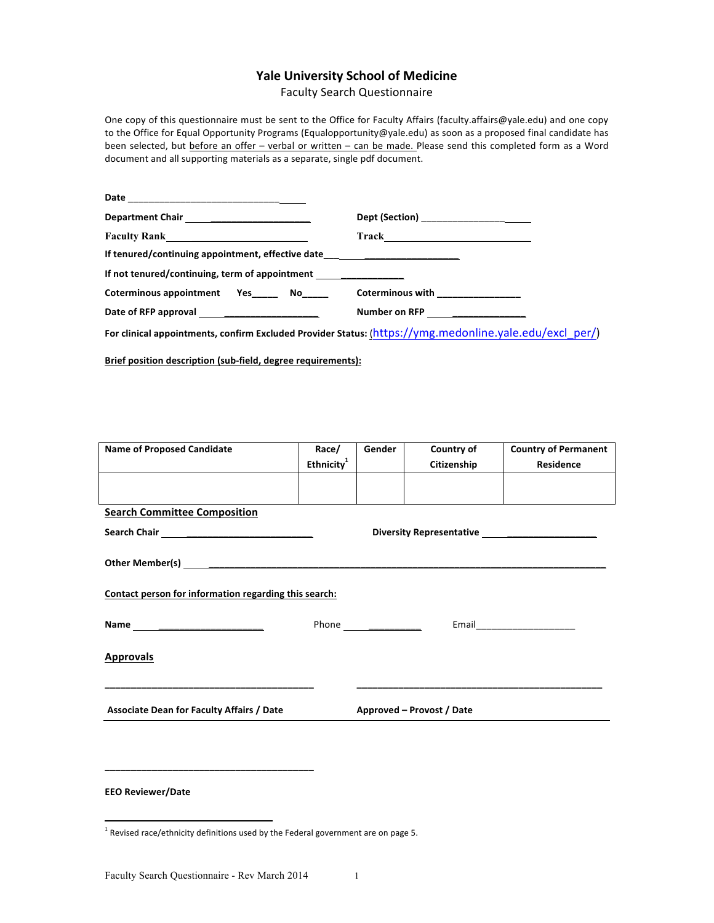# **Yale University School of Medicine**

Faculty Search Questionnaire 

One copy of this questionnaire must be sent to the Office for Faculty Affairs (faculty.affairs@yale.edu) and one copy to the Office for Equal Opportunity Programs (Equalopportunity@yale.edu) as soon as a proposed final candidate has been selected, but before an offer - verbal or written - can be made. Please send this completed form as a Word document and all supporting materials as a separate, single pdf document.

|                                                                                  | Dept (Section) _____________________          |
|----------------------------------------------------------------------------------|-----------------------------------------------|
| Faculty Rank <u> Leaden and Communication</u>                                    | $\begin{array}{c}\n\text{Track}\n\end{array}$ |
| If tenured/continuing appointment, effective date_______________________________ |                                               |
| If not tenured/continuing, term of appointment                                   |                                               |
| Coterminous appointment Yes No                                                   | Coterminous with _______________              |
|                                                                                  | Number on RFP <u>_______________</u>          |

For clinical appointments, confirm Excluded Provider Status: (https://ymg.medonline.yale.edu/excl\_per/)

**Brief position description (sub-field, degree requirements):** 

| <b>Name of Proposed Candidate</b>                     | Race/                  | Gender                    | Country of  | <b>Country of Permanent</b> |  |  |
|-------------------------------------------------------|------------------------|---------------------------|-------------|-----------------------------|--|--|
|                                                       | Ethnicity <sup>1</sup> |                           | Citizenship | Residence                   |  |  |
|                                                       |                        |                           |             |                             |  |  |
|                                                       |                        |                           |             |                             |  |  |
| <b>Search Committee Composition</b>                   |                        |                           |             |                             |  |  |
| Diversity Representative ________________________     |                        |                           |             |                             |  |  |
|                                                       |                        |                           |             |                             |  |  |
|                                                       |                        |                           |             |                             |  |  |
|                                                       |                        |                           |             |                             |  |  |
| Contact person for information regarding this search: |                        |                           |             |                             |  |  |
|                                                       |                        |                           |             |                             |  |  |
| Name _____________________________                    |                        |                           |             |                             |  |  |
|                                                       |                        |                           |             |                             |  |  |
| <b>Approvals</b>                                      |                        |                           |             |                             |  |  |
|                                                       |                        |                           |             |                             |  |  |
|                                                       |                        |                           |             |                             |  |  |
| <b>Associate Dean for Faculty Affairs / Date</b>      |                        | Approved – Provost / Date |             |                             |  |  |
|                                                       |                        |                           |             |                             |  |  |
|                                                       |                        |                           |             |                             |  |  |

**EEO Reviewer/Date** 

<u> 1989 - Johann Stein, fransk politik (d. 1989)</u>

**\_\_\_\_\_\_\_\_\_\_\_\_\_\_\_\_\_\_\_\_\_\_\_\_\_\_\_\_\_\_\_\_\_\_\_\_\_\_\_\_**

 $1$  Revised race/ethnicity definitions used by the Federal government are on page 5.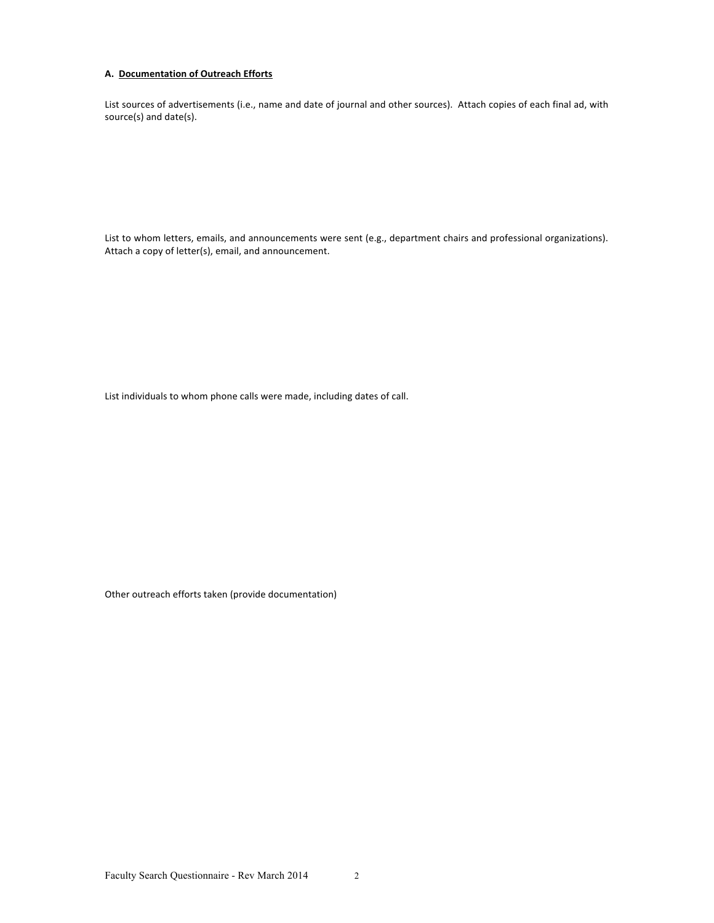## **A.** Documentation of Outreach Efforts

List sources of advertisements (i.e., name and date of journal and other sources). Attach copies of each final ad, with source(s) and date(s).

List to whom letters, emails, and announcements were sent (e.g., department chairs and professional organizations). Attach a copy of letter(s), email, and announcement.

List individuals to whom phone calls were made, including dates of call.

Other outreach efforts taken (provide documentation)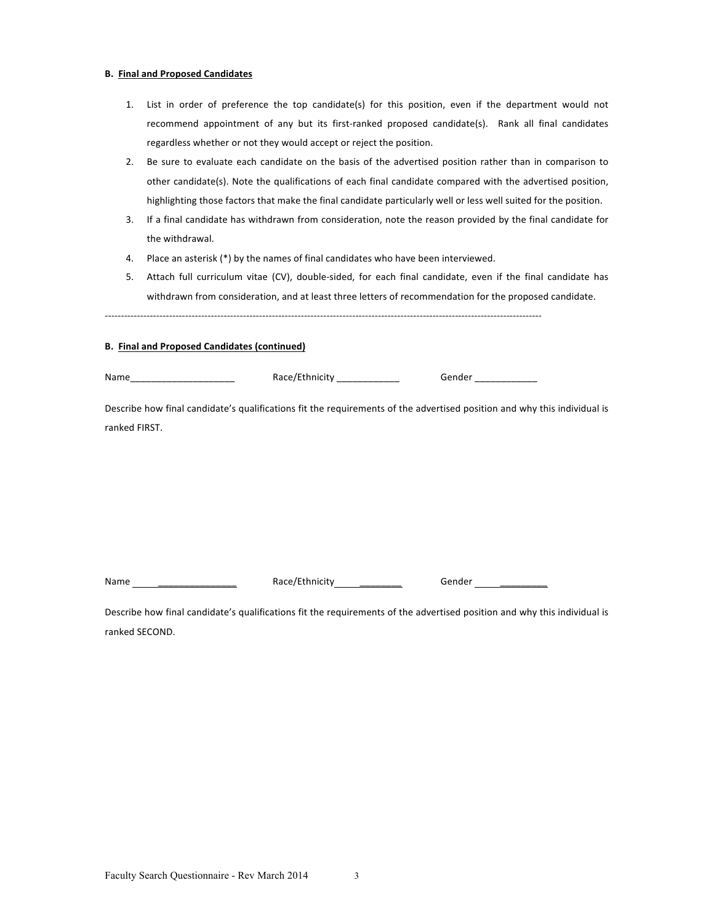#### **B. Final and Proposed Candidates**

- 1. List in order of preference the top candidate(s) for this position, even if the department would not recommend appointment of any but its first-ranked proposed candidate(s). Rank all final candidates regardless whether or not they would accept or reject the position.
- 2. Be sure to evaluate each candidate on the basis of the advertised position rather than in comparison to other candidate(s). Note the qualifications of each final candidate compared with the advertised position, highlighting those factors that make the final candidate particularly well or less well suited for the position.
- 3. If a final candidate has withdrawn from consideration, note the reason provided by the final candidate for the withdrawal.
- 4. Place an asterisk (\*) by the names of final candidates who have been interviewed.
- 5. Attach full curriculum vitae (CV), double-sided, for each final candidate, even if the final candidate has withdrawn from consideration, and at least three letters of recommendation for the proposed candidate.

----------------------------------------------------------------------------------------------------------------------------------------

## **B.** Final and Proposed Candidates (continued)

Name\_\_\_\_\_\_\_\_\_\_\_\_\_\_\_\_\_\_\_\_ Race/Ethnicity \_\_\_\_\_\_\_\_\_\_\_\_ Gender \_\_\_\_\_\_\_\_\_\_\_\_

Describe how final candidate's qualifications fit the requirements of the advertised position and why this individual is ranked FIRST.

Name \_\_\_\_\_\_\_\_\_\_\_\_\_\_\_\_\_\_\_\_ Race/Ethnicity \_\_\_\_\_\_\_\_\_\_\_ Gender \_\_\_\_\_\_

Describe how final candidate's qualifications fit the requirements of the advertised position and why this individual is ranked SECOND.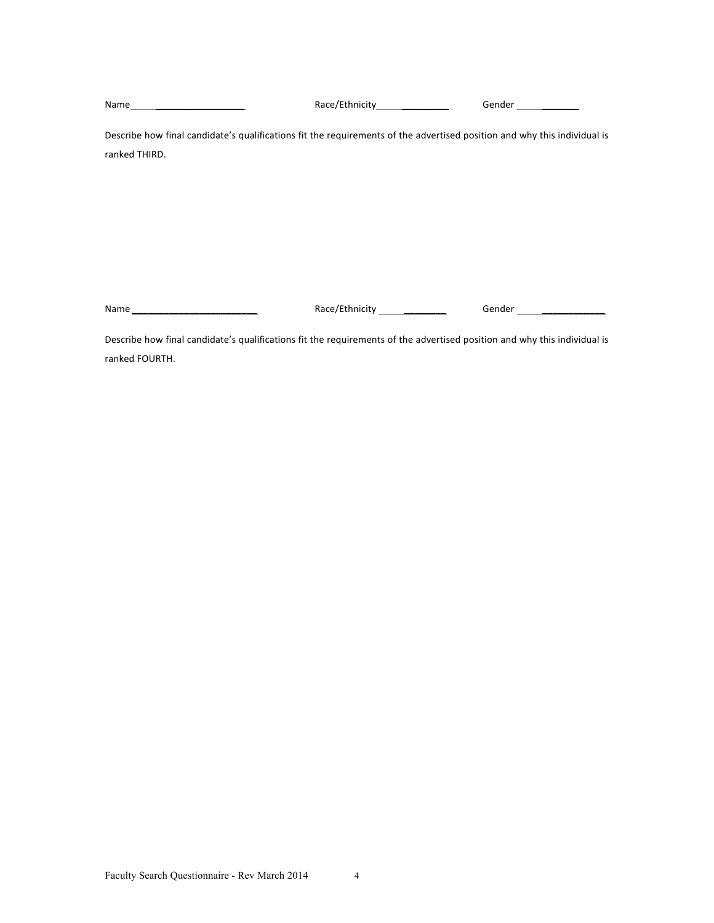Name *\_\_\_\_\_\_\_\_\_\_\_\_\_\_\_\_\_* Race/Ethnicity *\_\_\_\_\_\_\_\_\_* Gender *\_\_\_\_\_\_\_*

Describe how final candidate's qualifications fit the requirements of the advertised position and why this individual is ranked THIRD.

Name *\_\_\_\_\_\_\_\_\_\_\_\_\_\_\_\_\_\_\_\_\_\_\_\_* Race/Ethnicity *\_\_\_\_\_\_\_\_* Gender *\_\_\_\_\_\_\_\_\_\_\_\_*

Describe how final candidate's qualifications fit the requirements of the advertised position and why this individual is ranked FOURTH.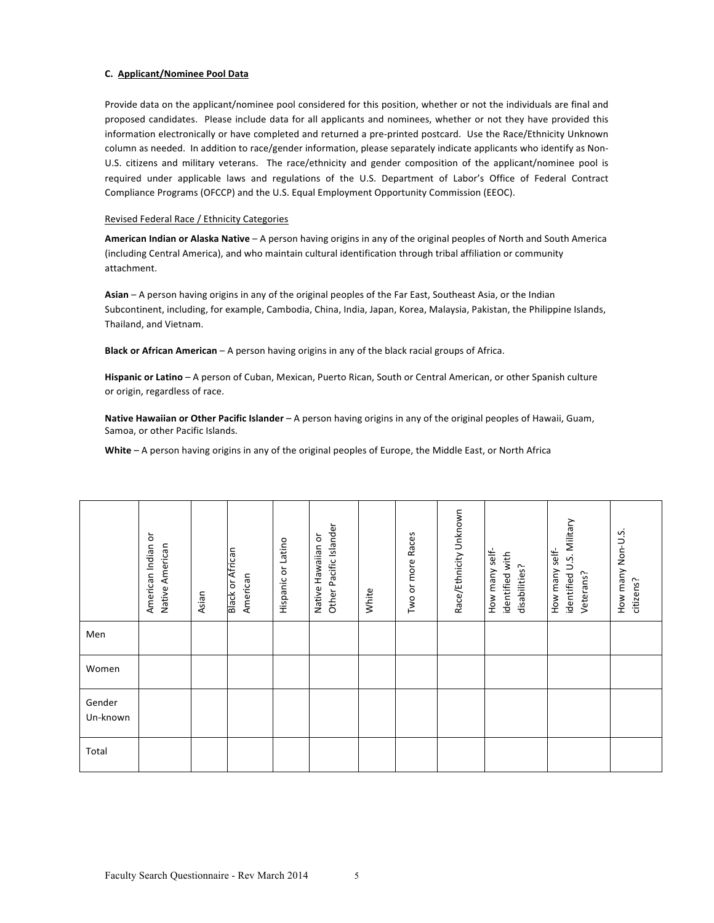## **C. Applicant/Nominee Pool Data**

Provide data on the applicant/nominee pool considered for this position, whether or not the individuals are final and proposed candidates. Please include data for all applicants and nominees, whether or not they have provided this information electronically or have completed and returned a pre-printed postcard. Use the Race/Ethnicity Unknown column as needed. In addition to race/gender information, please separately indicate applicants who identify as Non-U.S. citizens and military veterans. The race/ethnicity and gender composition of the applicant/nominee pool is required under applicable laws and regulations of the U.S. Department of Labor's Office of Federal Contract Compliance Programs (OFCCP) and the U.S. Equal Employment Opportunity Commission (EEOC).

## Revised Federal Race / Ethnicity Categories

American Indian or Alaska Native – A person having origins in any of the original peoples of North and South America (including Central America), and who maintain cultural identification through tribal affiliation or community attachment.

Asian – A person having origins in any of the original peoples of the Far East, Southeast Asia, or the Indian Subcontinent, including, for example, Cambodia, China, India, Japan, Korea, Malaysia, Pakistan, the Philippine Islands, Thailand, and Vietnam.

**Black or African American** – A person having origins in any of the black racial groups of Africa.

**Hispanic or Latino** – A person of Cuban, Mexican, Puerto Rican, South or Central American, or other Spanish culture or origin, regardless of race.

Native Hawaiian or Other Pacific Islander – A person having origins in any of the original peoples of Hawaii, Guam, Samoa, or other Pacific Islands.

White – A person having origins in any of the original peoples of Europe, the Middle East, or North Africa

|                    | American Indian or<br>Native American | Asian | <b>Black or African</b><br>American | Hispanic or Latino | Other Pacific Islander<br>Native Hawaiian or | White | Two or more Races | Race/Ethnicity Unknown | How many self-<br>identified with<br>disabilities? | identified U.S. Military<br>How many self-<br>Veterans? | How many Non-U.S.<br>citizens? |
|--------------------|---------------------------------------|-------|-------------------------------------|--------------------|----------------------------------------------|-------|-------------------|------------------------|----------------------------------------------------|---------------------------------------------------------|--------------------------------|
| Men                |                                       |       |                                     |                    |                                              |       |                   |                        |                                                    |                                                         |                                |
| Women              |                                       |       |                                     |                    |                                              |       |                   |                        |                                                    |                                                         |                                |
| Gender<br>Un-known |                                       |       |                                     |                    |                                              |       |                   |                        |                                                    |                                                         |                                |
| Total              |                                       |       |                                     |                    |                                              |       |                   |                        |                                                    |                                                         |                                |